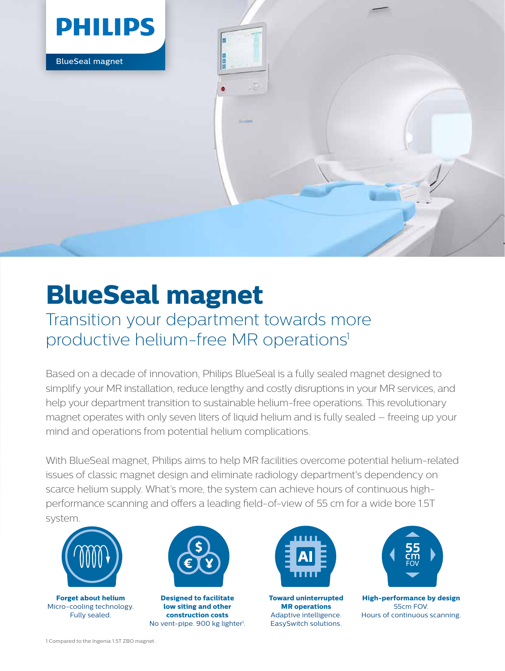

# **BlueSeal magnet**

### Transition your department towards more productive helium-free MR operations<sup>1</sup>

Based on a decade of innovation, Philips BlueSeal is a fully sealed magnet designed to simplify your MR installation, reduce lengthy and costly disruptions in your MR services, and help your department transition to sustainable helium-free operations. This revolutionary magnet operates with only seven liters of liquid helium and is fully sealed – freeing up your mind and operations from potential helium complications.

With BlueSeal magnet, Philips aims to help MR facilities overcome potential helium-related issues of classic magnet design and eliminate radiology department's dependency on scarce helium supply. What's more, the system can achieve hours of continuous highperformance scanning and offers a leading field-of-view of 55 cm for a wide bore 1.5T system.



**Forget about helium** Micro-cooling technology. Fully sealed.



**Designed to facilitate low siting and other construction costs** No vent-pipe. 900 kg lighter<sup>1</sup>.



**Toward uninterrupted MR operations** Adaptive intelligence. EasySwitch solutions.



**High-performance by design** 55cm FOV. Hours of continuous scanning.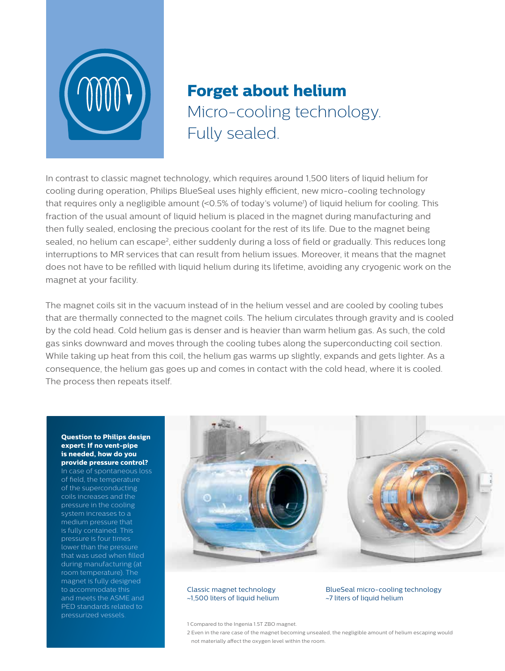

## **Forget about helium** Micro-cooling technology. Fully sealed.

In contrast to classic magnet technology, which requires around 1,500 liters of liquid helium for cooling during operation, Philips BlueSeal uses highly efficient, new micro-cooling technology that requires only a negligible amount (<0.5% of today's volume<sup>1</sup>) of liquid helium for cooling. This fraction of the usual amount of liquid helium is placed in the magnet during manufacturing and then fully sealed, enclosing the precious coolant for the rest of its life. Due to the magnet being sealed, no helium can escape<sup>2</sup>, either suddenly during a loss of field or gradually. This reduces long interruptions to MR services that can result from helium issues. Moreover, it means that the magnet does not have to be refilled with liquid helium during its lifetime, avoiding any cryogenic work on the magnet at your facility.

The magnet coils sit in the vacuum instead of in the helium vessel and are cooled by cooling tubes that are thermally connected to the magnet coils. The helium circulates through gravity and is cooled by the cold head. Cold helium gas is denser and is heavier than warm helium gas. As such, the cold gas sinks downward and moves through the cooling tubes along the superconducting coil section. While taking up heat from this coil, the helium gas warms up slightly, expands and gets lighter. As a consequence, the helium gas goes up and comes in contact with the cold head, where it is cooled. The process then repeats itself.

#### **Question to Philips design expert: If no vent-pipe is needed, how do you provide pressure control?**

In case of spontaneous loss of field, the temperature of the superconducting coils increases and the pressure in the cooling system increases to a is fully contained. This pressure is four times lower than the pressure during manufacturing (at room temperature). The magnet is fully designed to accommodate this and meets the ASME and PED standards related to pressurized vessels.



#### Classic magnet technology ~1,500 liters of liquid helium

BlueSeal micro-cooling technology ~7 liters of liquid helium

1 Compared to the Ingenia 1.5T ZBO magnet.

2 Even in the rare case of the magnet becoming unsealed, the negligible amount of helium escaping would not materially affect the oxygen level within the room.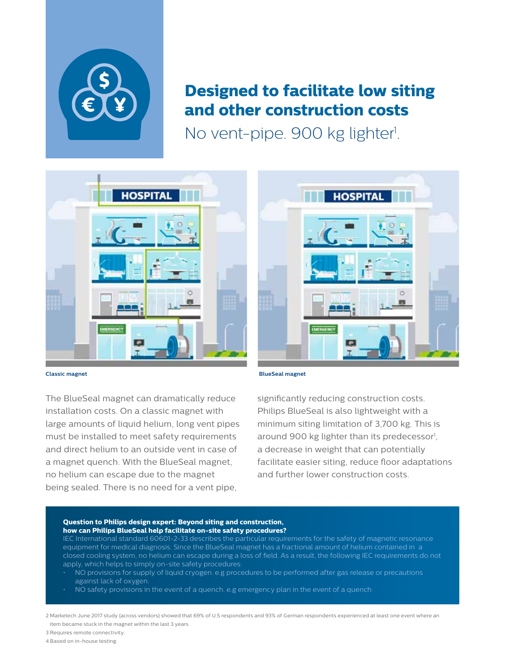

### **Designed to facilitate low siting and other construction costs**

No vent-pipe. 900 kg lighter<sup>1</sup>.



The BlueSeal magnet can dramatically reduce installation costs. On a classic magnet with large amounts of liquid helium, long vent pipes must be installed to meet safety requirements and direct helium to an outside vent in case of a magnet quench. With the BlueSeal magnet, no helium can escape due to the magnet being sealed. There is no need for a vent pipe,



significantly reducing construction costs. Philips BlueSeal is also lightweight with a minimum siting limitation of 3,700 kg. This is around 900 kg lighter than its predecessor<sup>1</sup>, a decrease in weight that can potentially facilitate easier siting, reduce floor adaptations and further lower construction costs.

#### **Question to Philips design expert: Beyond siting and construction, how can Philips BlueSeal help facilitate on-site safety procedures?**

IEC International standard 60601-2-33 describes the particular requirements for the safety of magnetic resonance equipment for medical diagnosis. Since the BlueSeal magnet has a fractional amount of helium contained in a closed cooling system, no helium can escape during a loss of field. As a result, the following IEC requirements do not apply, which helps to simply on-site safety procedures:

- NO provisions for supply of liquid cryogen. e.g procedures to be performed after gas release or precautions against lack of oxygen.
- NO safety provisions in the event of a quench. e.g emergency plan in the event of a quench

2 Marketech June 2017 study (across vendors) showed that 69% of U.S respondents and 93% of German respondents experienced at least one event where an item became stuck in the magnet within the last 3 years.

3 Requires remote connectivity.

4 Based on in-house testing.

**HOSPITAL**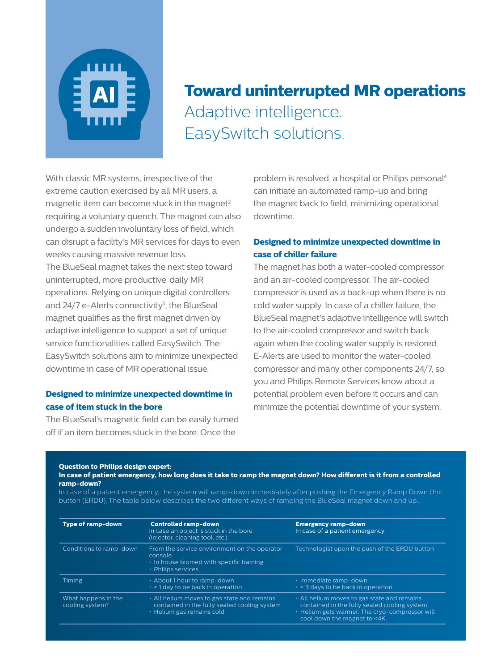

### **Toward uninterrupted MR operations** Adaptive intelligence. EasySwitch solutions.

With classic MR systems, irrespective of the extreme caution exercised by all MR users, a magnetic item can become stuck in the magnet $2$ requiring a voluntary quench. The magnet can also undergo a sudden involuntary loss of field, which can disrupt a facility's MR services for days to even weeks causing massive revenue loss. The BlueSeal magnet takes the next step toward uninterrupted, more productive<sup>1</sup> daily MR operations. Relying on unique digital controllers and  $24/7$  e-Alerts connectivity<sup>3</sup>, the BlueSeal magnet qualifies as the first magnet driven by adaptive intelligence to support a set of unique service functionalities called EasySwitch. The EasySwitch solutions aim to minimize unexpected downtime in case of MR operational issue.

### **Designed to minimize unexpected downtime in case of item stuck in the bore**

The BlueSeal's magnetic field can be easily turned off if an item becomes stuck in the bore. Once the

problem is resolved, a hospital or Philips personal4 can initiate an automated ramp-up and bring the magnet back to field, minimizing operational downtime.

### **Designed to minimize unexpected downtime in case of chiller failure**

The magnet has both a water-cooled compressor and an air-cooled compressor. The air-cooled compressor is used as a back-up when there is no cold water supply. In case of a chiller failure, the BlueSeal magnet's adaptive intelligence will switch to the air-cooled compressor and switch back again when the cooling water supply is restored. E-Alerts are used to monitor the water-cooled compressor and many other components 24/7, so you and Philips Remote Services know about a potential problem even before it occurs and can minimize the potential downtime of your system.

#### **Question to Philips design expert:**

**In case of patient emergency, how long does it take to ramp the magnet down? How different is it from a controlled ramp-down?**

In case of a patient emergency, the system will ramp-down immediately after pushing the Emergency Ramp Down Unit button (ERDU). The table below describes the two different ways of ramping the BlueSeal magnet down and up..

| Type of ramp-down                      | <b>Controlled ramp-down</b><br>in case an object is stuck in the bore<br>(injector, cleaning tool, etc.)                             | <b>Emergency ramp-down</b><br>In case of a patient emergency                                                                                                                        |
|----------------------------------------|--------------------------------------------------------------------------------------------------------------------------------------|-------------------------------------------------------------------------------------------------------------------------------------------------------------------------------------|
| Conditions to ramp-down                | From the service environment on the operator<br>console<br>$\cdot$ In house biomed with specific training<br>· Philips services      | Technologist upon the push of the ERDU button                                                                                                                                       |
| <b>Timing</b>                          | $\cdot$ About 1 hour to ramp-down<br>$\cdot$ < 1 day to be back in operation                                                         | $\cdot$ Immediate ramp-down<br>$\cdot$ < 3 days to be back in operation                                                                                                             |
| What happens in the<br>cooling system? | $\cdot$ All helium moves to gas state and remains<br>contained in the fully sealed cooling system<br>$\cdot$ Helium gas remains cold | $\cdot$ All helium moves to gas state and remains<br>contained in the fully sealed cooling system<br>. Helium gets warmer. The cryo-compressor will<br>cool down the magnet to <4K. |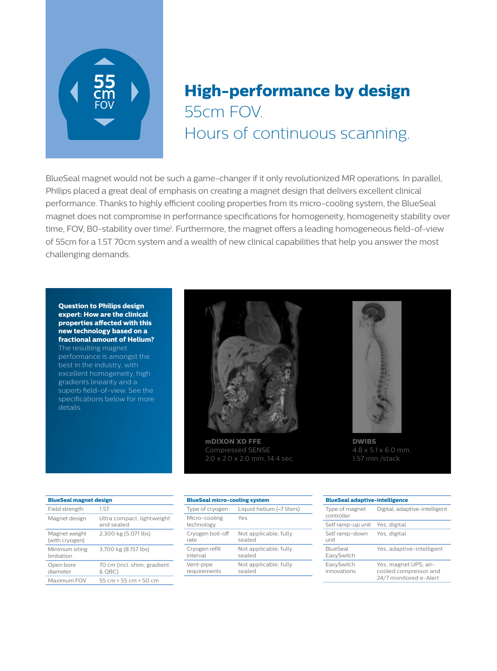

## **High-performance by design** 55cm FOV. Hours of continuous scanning.

BlueSeal magnet would not be such a game-changer if it only revolutionized MR operations. In parallel, Philips placed a great deal of emphasis on creating a magnet design that delivers excellent clinical performance. Thanks to highly efficient cooling properties from its micro-cooling system, the BlueSeal magnet does not compromise in performance specifications for homogeneity, homogeneity stability over time, FOV, B0-stability over time<sup>1</sup>. Furthermore, the magnet offers a leading homogeneous field-of-view of 55cm for a 1.5T 70cm system and a wealth of new clinical capabilities that help you answer the most challenging demands.

#### **Question to Philips design expert: How are the clinical properties affected with this new technology based on a fractional amount of Helium?**

The resulting magnet performance is amongst the best in the industry, with excellent homogeneity, high gradients linearity and a superb field-of-view. See the specifications below for more details.



**mDIXON XD FFE** Compressed SENSE 2.0 x 2.0 x 2.0 mm, 14.4 sec



**DWIBS** 4.8 x 5.1 x 6.0 mm, 1:57 min /stack

| <b>BlueSeal magnet design</b>   |                                          |  |
|---------------------------------|------------------------------------------|--|
| Field strength                  | 1.5T                                     |  |
| Magnet design                   | Ultra compact, lightweight<br>and sealed |  |
| Magnet weight<br>(with cryogen) | 2,300 kg (5,071 lbs)                     |  |
| Minimum siting<br>limitation    | 3,700 kg (8,157 lbs)                     |  |
| Open bore<br>diameter           | 70 cm (incl. shim, gradient<br>& QBC)    |  |
| Maximum FOV                     | 55 cm x 55 cm x 50 cm                    |  |

| <b>BlueSeal micro-cooling system</b> |                           |  |
|--------------------------------------|---------------------------|--|
| Type of cryogen                      | Liquid helium (~7 liters) |  |
| Micro-cooling<br>technology          | Yes                       |  |
| Cryogen boil-off                     | Not applicable, fully     |  |
| rate                                 | sealed                    |  |
| Cryogen refill                       | Not applicable, fully     |  |
| interval                             | sealed                    |  |
| Vent-pipe                            | Not applicable, fully     |  |
| requirements                         | sealed                    |  |

| <b>BlueSeal adaptive-intelligence</b> |                                                                          |  |
|---------------------------------------|--------------------------------------------------------------------------|--|
| Type of magnet<br>controller          | Digital, adaptive-intelligent                                            |  |
| Self ramp-up unit                     | Yes, digital                                                             |  |
| Self ramp-down<br>unit                | Yes, digital                                                             |  |
| <b>BlueSeal</b><br>EasySwitch         | Yes, adaptive-intelligent                                                |  |
| EasySwitch<br>innovations             | Yes, magnet UPS, air-<br>cooled compressor and<br>24/7 monitored e-Alert |  |
|                                       |                                                                          |  |